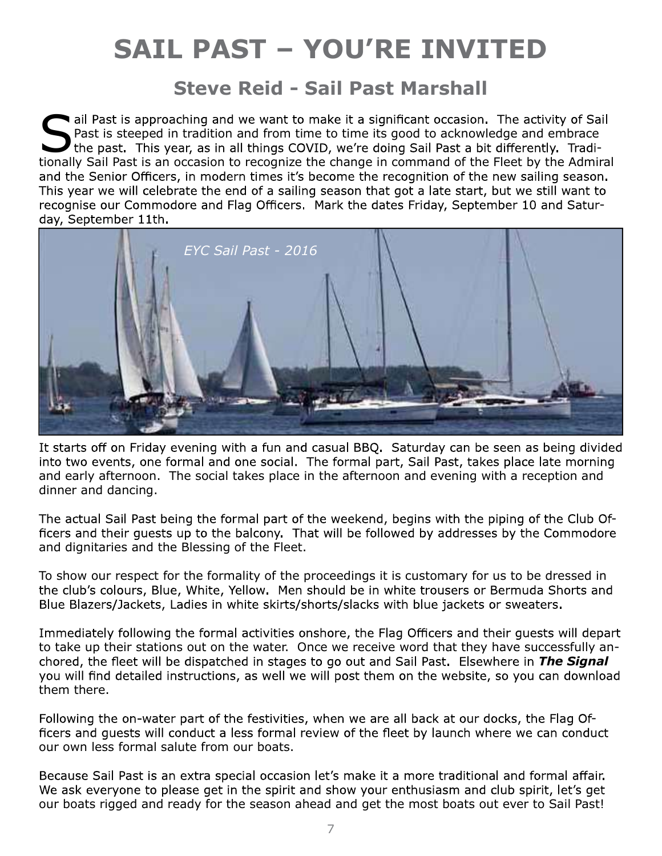# SAIL PAST – YOU'RE INVITED

### Steve Reid - Sail Past Marshall

ail Past is approaching and we want to make it a significant occasion. The activity of Sail and an Past is steeped in tradition and from time to time its good to acknowledge and embrace the past. This year, as in all things COVID, we're doing Sail Past a bit differently. Traditionally Sail Past is an occasion to recognize the change in command of the Fleet by the Admiral and the Senior Officers, in modern times it's become the recognition of the new sailing season. This year we will celebrate the end of a sailing season that got a late start, but we still want to recognise our Commodore and Flag Officers. Mark the dates Friday, September 10 and Saturday, September 11th.



It starts off on Friday evening with a fun and casual BBQ. Saturday can be seen as being divided into two events, one formal and one social. The formal part, Sail Past, takes place late morning and early afternoon. The social takes place in the afternoon and evening with a reception and dinner and dancing.

The actual Sail Past being the formal part of the weekend, begins with the piping of the Club Officers and their quests up to the balcony. That will be followed by addresses by the Commodore and dignitaries and the Blessing of the Fleet.

To show our respect for the formality of the proceedings it is customary for us to be dressed in the club's colours, Blue, White, Yellow. Men should be in white trousers or Bermuda Shorts and Blue Blazers/Jackets, Ladies in white skirts/shorts/slacks with blue jackets or sweaters.

Immediately following the formal activities onshore, the Flag Officers and their quests will depart to take up their stations out on the water. Once we receive word that they have successfully anchored, the fleet will be dispatched in stages to go out and Sail Past. Elsewhere in The Signal you will find detailed instructions, as well we will post them on the website, so you can download them there.

Following the on-water part of the festivities, when we are all back at our docks, the Flag Officers and quests will conduct a less formal review of the fleet by launch where we can conduct our own less formal salute from our boats.

Because Sail Past is an extra special occasion let's make it a more traditional and formal affair. We ask everyone to please get in the spirit and show your enthusiasm and club spirit, let's get our boats rigged and ready for the season ahead and get the most boats out ever to Sail Past!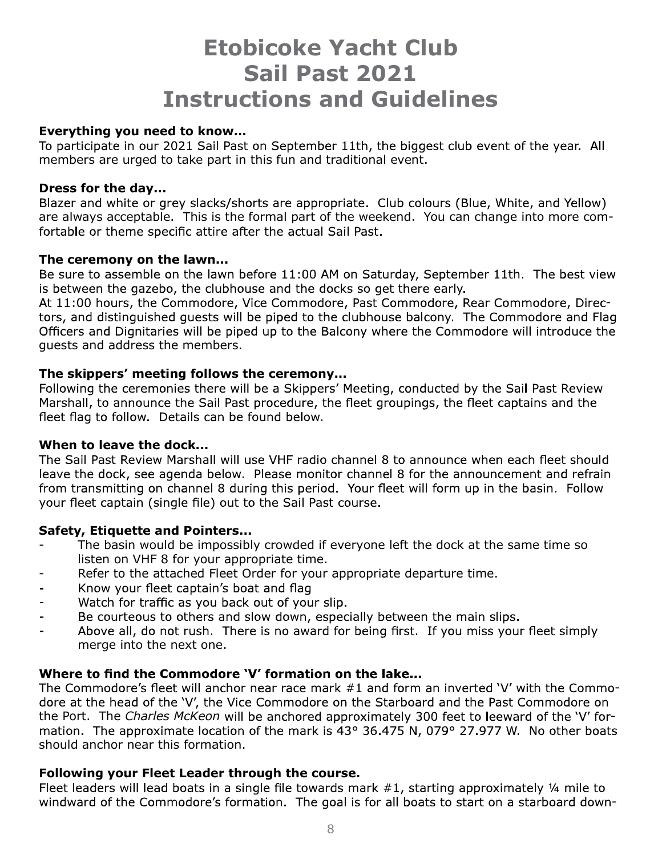## Etobicoke Yacht Club Sail Past 2021 Instructions and Guidelines

#### Everything you need to know…

To participate in our 2021 Sail Past on September 11th, the biggest club event of the year. All members are urged to take part in this fun and traditional event.

#### Dress for the day...

Blazer and white or grey slacks/shorts are appropriate. Club colours (Blue, White, and Yellow) are always acceptable. This is the formal part of the weekend. You can change into more comfortable or theme specific attire after the actual Sail Past.

#### The ceremony on the lawn...

Be sure to assemble on the lawn before 11:00 AM on Saturday, September 11th. The best view is between the gazebo, the clubhouse and the docks so get there early.

At 11:00 hours, the Commodore, Vice Commodore, Past Commodore, Rear Commodore, Directors, and distinguished quests will be piped to the clubhouse balcony. The Commodore and Flag Officers and Dignitaries will be piped up to the Balcony where the Commodore will introduce the guests and address the members.

#### The skippers' meeting follows the ceremony...

Following the ceremonies there will be a Skippers' Meeting, conducted by the Sail Past Review Marshall, to announce the Sail Past procedure, the fleet groupings, the fleet captains and the fleet flag to follow. Details can be found below.

#### When to leave the dock...

The Sail Past Review Marshall will use VHF radio channel 8 to announce when each fleet should leave the dock, see agenda below. Please monitor channel 8 for the announcement and refrain from transmitting on channel 8 during this period. Your fleet will form up in the basin. Follow your fleet captain (single file) out to the Sail Past course.

#### Safety, Etiquette and Pointers...

- The basin would be impossibly crowded if everyone left the dock at the same time so listen on VHF 8 for your appropriate time.
- Refer to the attached Fleet Order for your appropriate departure time.
- Know your fleet captain's boat and flag
- Watch for traffic as you back out of your slip.
- Be courteous to others and slow down, especially between the main slips.
- Above all, do not rush. There is no award for being first. If you miss your fleet simply  $\overline{a}$ merge into the next one.

#### Where to find the Commodore 'V' formation on the lake...

The Commodore's fleet will anchor near race mark #1 and form an inverted 'V' with the Commodore at the head of the 'V', the Vice Commodore on the Starboard and the Past Commodore on the Port. The Charles McKeon will be anchored approximately 300 feet to leeward of the 'V' formation. The approximate location of the mark is 43° 36.475 N, 079° 27.977 W. No other boats should anchor near this formation.

#### Following your Fleet Leader through the course.

Fleet leaders will lead boats in a single file towards mark  $#1$ , starting approximately  $\frac{1}{4}$  mile to windward of the Commodore's formation. The goal is for all boats to start on a starboard down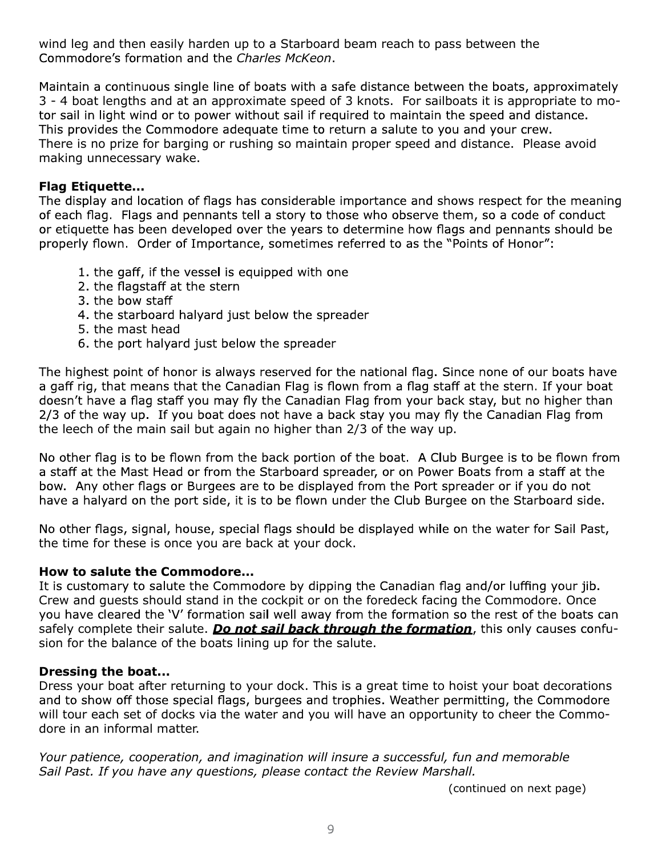wind leg and then easily harden up to a Starboard beam reach to pass between the Commodore's formation and the Charles McKeon.

Maintain a continuous single line of boats with a safe distance between the boats, approximately 3 - 4 boat lengths and at an approximate speed of 3 knots. For sailboats it is appropriate to motor sail in light wind or to power without sail if required to maintain the speed and distance. This provides the Commodore adequate time to return a salute to you and your crew. There is no prize for barging or rushing so maintain proper speed and distance. Please avoid making unnecessary wake.

#### Flag Etiquette...

The display and location of flags has considerable importance and shows respect for the meaning of each flag. Flags and pennants tell a story to those who observe them, so a code of conduct or etiquette has been developed over the years to determine how flags and pennants should be properly flown. Order of Importance, sometimes referred to as the "Points of Honor":

- 1. the gaff, if the vessel is equipped with one
- 2. the flagstaff at the stern
- 3. the bow staff
- 4. the starboard halyard just below the spreader
- 5. the mast head
- 6. the port halyard just below the spreader

The highest point of honor is always reserved for the national flag. Since none of our boats have a gaff rig, that means that the Canadian Flag is flown from a flag staff at the stern. If your boat doesn't have a flag staff you may fly the Canadian Flag from your back stay, but no higher than 2/3 of the way up. If you boat does not have a back stay you may fly the Canadian Flag from the leech of the main sail but again no higher than 2/3 of the way up.

No other flag is to be flown from the back portion of the boat. A Club Burgee is to be flown from a staff at the Mast Head or from the Starboard spreader, or on Power Boats from a staff at the bow. Any other flags or Burgees are to be displayed from the Port spreader or if you do not have a halyard on the port side, it is to be flown under the Club Burgee on the Starboard side.

No other flags, signal, house, special flags should be displayed while on the water for Sail Past, the time for these is once you are back at your dock.

#### How to salute the Commodore...

It is customary to salute the Commodore by dipping the Canadian flag and/or luffing your jib. Crew and guests should stand in the cockpit or on the foredeck facing the Commodore. Once you have cleared the 'V' formation sail well away from the formation so the rest of the boats can safely complete their salute. Do not sail back through the formation, this only causes confusion for the balance of the boats lining up for the salute.

#### Dressing the boat...

Dress your boat after returning to your dock. This is a great time to hoist your boat decorations and to show off those special flags, burgees and trophies. Weather permitting, the Commodore will tour each set of docks via the water and you will have an opportunity to cheer the Commodore in an informal matter.

Your patience, cooperation, and imagination will insure a successful, fun and memorable Sail Past. If you have any questions, please contact the Review Marshall.

(continued on next page)